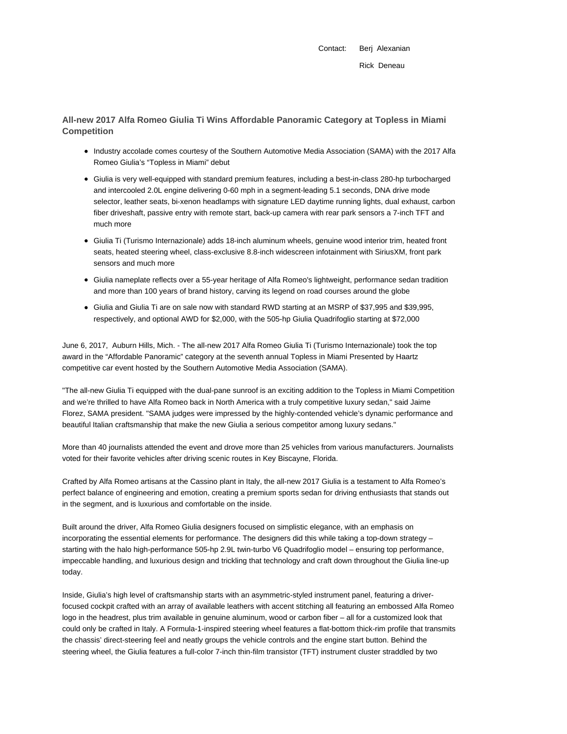Contact: Berj Alexanian Rick Deneau

**All-new 2017 Alfa Romeo Giulia Ti Wins Affordable Panoramic Category at Topless in Miami Competition**

- Industry accolade comes courtesy of the Southern Automotive Media Association (SAMA) with the 2017 Alfa Romeo Giulia's "Topless in Miami" debut
- Giulia is very well-equipped with standard premium features, including a best-in-class 280-hp turbocharged and intercooled 2.0L engine delivering 0-60 mph in a segment-leading 5.1 seconds, DNA drive mode selector, leather seats, bi-xenon headlamps with signature LED daytime running lights, dual exhaust, carbon fiber driveshaft, passive entry with remote start, back-up camera with rear park sensors a 7-inch TFT and much more
- Giulia Ti (Turismo Internazionale) adds 18-inch aluminum wheels, genuine wood interior trim, heated front seats, heated steering wheel, class-exclusive 8.8-inch widescreen infotainment with SiriusXM, front park sensors and much more
- Giulia nameplate reflects over a 55-year heritage of Alfa Romeo's lightweight, performance sedan tradition and more than 100 years of brand history, carving its legend on road courses around the globe
- Giulia and Giulia Ti are on sale now with standard RWD starting at an MSRP of \$37,995 and \$39,995, respectively, and optional AWD for \$2,000, with the 505-hp Giulia Quadrifoglio starting at \$72,000

June 6, 2017, Auburn Hills, Mich. - The all-new 2017 Alfa Romeo Giulia Ti (Turismo Internazionale) took the top award in the "Affordable Panoramic" category at the seventh annual Topless in Miami Presented by Haartz competitive car event hosted by the Southern Automotive Media Association (SAMA).

"The all-new Giulia Ti equipped with the dual-pane sunroof is an exciting addition to the Topless in Miami Competition and we're thrilled to have Alfa Romeo back in North America with a truly competitive luxury sedan," said Jaime Florez, SAMA president. "SAMA judges were impressed by the highly-contended vehicle's dynamic performance and beautiful Italian craftsmanship that make the new Giulia a serious competitor among luxury sedans."

More than 40 journalists attended the event and drove more than 25 vehicles from various manufacturers. Journalists voted for their favorite vehicles after driving scenic routes in Key Biscayne, Florida.

Crafted by Alfa Romeo artisans at the Cassino plant in Italy, the all-new 2017 Giulia is a testament to Alfa Romeo's perfect balance of engineering and emotion, creating a premium sports sedan for driving enthusiasts that stands out in the segment, and is luxurious and comfortable on the inside.

Built around the driver, Alfa Romeo Giulia designers focused on simplistic elegance, with an emphasis on incorporating the essential elements for performance. The designers did this while taking a top-down strategy – starting with the halo high-performance 505-hp 2.9L twin-turbo V6 Quadrifoglio model – ensuring top performance, impeccable handling, and luxurious design and trickling that technology and craft down throughout the Giulia line-up today.

Inside, Giulia's high level of craftsmanship starts with an asymmetric-styled instrument panel, featuring a driverfocused cockpit crafted with an array of available leathers with accent stitching all featuring an embossed Alfa Romeo logo in the headrest, plus trim available in genuine aluminum, wood or carbon fiber – all for a customized look that could only be crafted in Italy. A Formula-1-inspired steering wheel features a flat-bottom thick-rim profile that transmits the chassis' direct-steering feel and neatly groups the vehicle controls and the engine start button. Behind the steering wheel, the Giulia features a full-color 7-inch thin-film transistor (TFT) instrument cluster straddled by two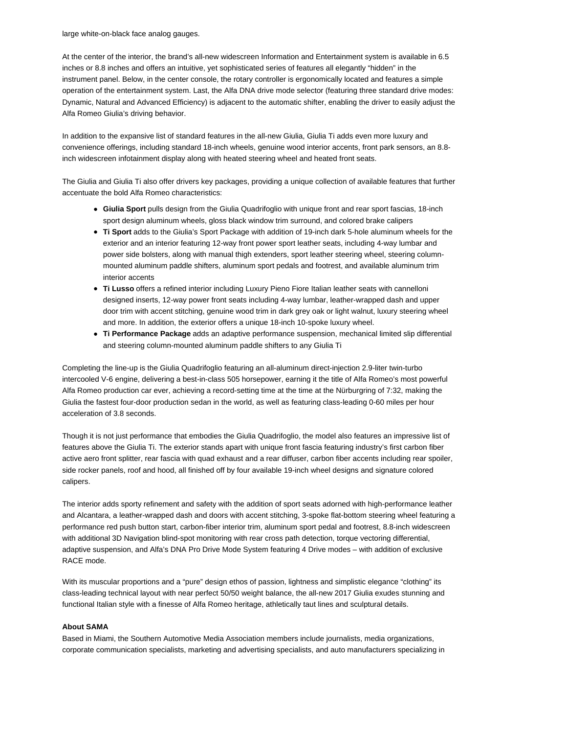large white-on-black face analog gauges.

At the center of the interior, the brand's all-new widescreen Information and Entertainment system is available in 6.5 inches or 8.8 inches and offers an intuitive, yet sophisticated series of features all elegantly "hidden" in the instrument panel. Below, in the center console, the rotary controller is ergonomically located and features a simple operation of the entertainment system. Last, the Alfa DNA drive mode selector (featuring three standard drive modes: Dynamic, Natural and Advanced Efficiency) is adjacent to the automatic shifter, enabling the driver to easily adjust the Alfa Romeo Giulia's driving behavior.

In addition to the expansive list of standard features in the all-new Giulia, Giulia Ti adds even more luxury and convenience offerings, including standard 18-inch wheels, genuine wood interior accents, front park sensors, an 8.8 inch widescreen infotainment display along with heated steering wheel and heated front seats.

The Giulia and Giulia Ti also offer drivers key packages, providing a unique collection of available features that further accentuate the bold Alfa Romeo characteristics:

- **Giulia Sport** pulls design from the Giulia Quadrifoglio with unique front and rear sport fascias, 18-inch sport design aluminum wheels, gloss black window trim surround, and colored brake calipers
- **Ti Sport** adds to the Giulia's Sport Package with addition of 19-inch dark 5-hole aluminum wheels for the exterior and an interior featuring 12-way front power sport leather seats, including 4-way lumbar and power side bolsters, along with manual thigh extenders, sport leather steering wheel, steering columnmounted aluminum paddle shifters, aluminum sport pedals and footrest, and available aluminum trim interior accents
- **Ti Lusso** offers a refined interior including Luxury Pieno Fiore Italian leather seats with cannelloni designed inserts, 12-way power front seats including 4-way lumbar, leather-wrapped dash and upper door trim with accent stitching, genuine wood trim in dark grey oak or light walnut, luxury steering wheel and more. In addition, the exterior offers a unique 18-inch 10-spoke luxury wheel.
- **Ti Performance Package** adds an adaptive performance suspension, mechanical limited slip differential and steering column-mounted aluminum paddle shifters to any Giulia Ti

Completing the line-up is the Giulia Quadrifoglio featuring an all-aluminum direct-injection 2.9-liter twin-turbo intercooled V-6 engine, delivering a best-in-class 505 horsepower, earning it the title of Alfa Romeo's most powerful Alfa Romeo production car ever, achieving a record-setting time at the time at the Nürburgring of 7:32, making the Giulia the fastest four-door production sedan in the world, as well as featuring class-leading 0-60 miles per hour acceleration of 3.8 seconds.

Though it is not just performance that embodies the Giulia Quadrifoglio, the model also features an impressive list of features above the Giulia Ti. The exterior stands apart with unique front fascia featuring industry's first carbon fiber active aero front splitter, rear fascia with quad exhaust and a rear diffuser, carbon fiber accents including rear spoiler, side rocker panels, roof and hood, all finished off by four available 19-inch wheel designs and signature colored calipers.

The interior adds sporty refinement and safety with the addition of sport seats adorned with high-performance leather and Alcantara, a leather-wrapped dash and doors with accent stitching, 3-spoke flat-bottom steering wheel featuring a performance red push button start, carbon-fiber interior trim, aluminum sport pedal and footrest, 8.8-inch widescreen with additional 3D Navigation blind-spot monitoring with rear cross path detection, torque vectoring differential, adaptive suspension, and Alfa's DNA Pro Drive Mode System featuring 4 Drive modes – with addition of exclusive RACE mode.

With its muscular proportions and a "pure" design ethos of passion, lightness and simplistic elegance "clothing" its class-leading technical layout with near perfect 50/50 weight balance, the all-new 2017 Giulia exudes stunning and functional Italian style with a finesse of Alfa Romeo heritage, athletically taut lines and sculptural details.

## **About SAMA**

Based in Miami, the Southern Automotive Media Association members include journalists, media organizations, corporate communication specialists, marketing and advertising specialists, and auto manufacturers specializing in